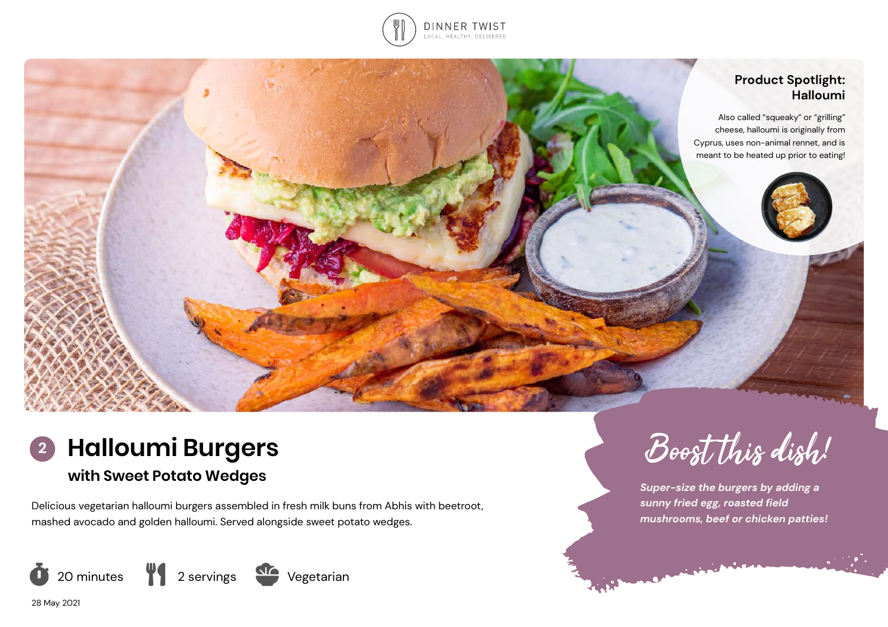

# **Product Spotlight: Halloumi**

Also called "squeaky" or "grilling" cheese, halloumi is originally from Cyprus, uses non-animal rennet, and is meant to be heated up prior to eating!



# **with Sweet Potato Wedges**

Delicious vegetarian halloumi burgers assembled in fresh milk buns from Abhis with beetroot, mashed avocado and golden halloumi. Served alongside sweet potato wedges.



*Super-size the burgers by adding a sunny fried egg, roasted field mushrooms, beef or chicken patties!*

28 May 2021